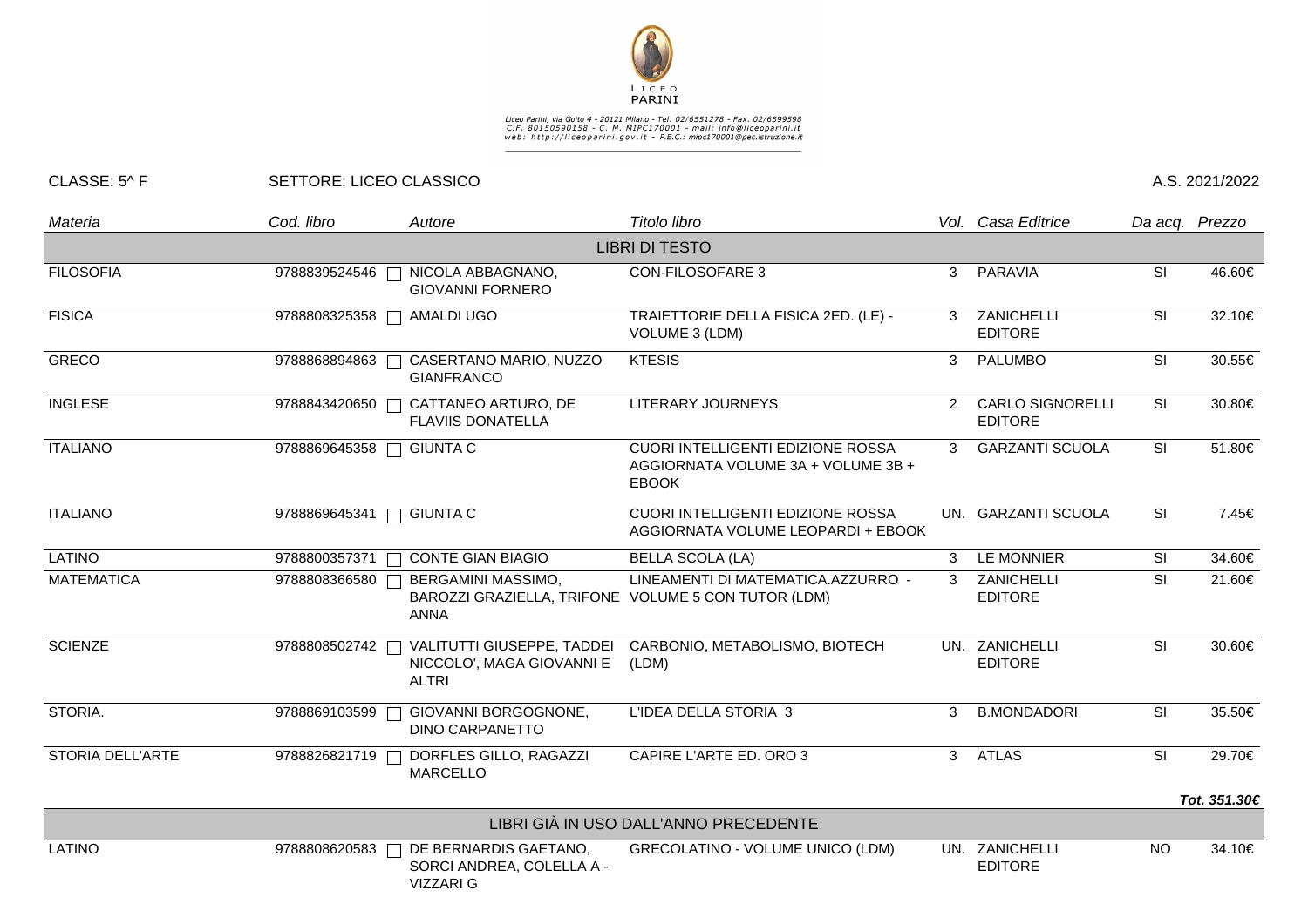

## Liceo Parini, via Goito 4 - 20121 Milano - Tel. 02/6551278 - Fax. 02/6599598<br>C.F. 80150590158 - C. M. MIPC170001 - mail: info@liceoparini.it<br>web: http://liceoparini.gov.it - P.E.C.: mipc170001@pec.istruzione.it

## CLASSE: 5^ F SETTORE: LICEO CLASSICO A.S. 2021/2022

| Materia           | Cod. libro              | Autore                                                                                   | Titolo libro                                                                                   |                | Vol. Casa Editrice                        |           | Da acq. Prezzo |
|-------------------|-------------------------|------------------------------------------------------------------------------------------|------------------------------------------------------------------------------------------------|----------------|-------------------------------------------|-----------|----------------|
|                   |                         |                                                                                          | <b>LIBRI DI TESTO</b>                                                                          |                |                                           |           |                |
| <b>FILOSOFIA</b>  | 9788839524546           | NICOLA ABBAGNANO,<br><b>GIOVANNI FORNERO</b>                                             | <b>CON-FILOSOFARE 3</b>                                                                        | 3              | PARAVIA                                   | <b>SI</b> | 46.60€         |
| <b>FISICA</b>     | 9788808325358           | AMALDI UGO                                                                               | TRAIETTORIE DELLA FISICA 2ED. (LE) -<br>VOLUME 3 (LDM)                                         | 3              | ZANICHELLI<br><b>EDITORE</b>              | SI        | 32.10€         |
| <b>GRECO</b>      | 9788868894863           | CASERTANO MARIO, NUZZO<br><b>GIANFRANCO</b>                                              | <b>KTESIS</b>                                                                                  | 3              | PALUMBO                                   | <b>SI</b> | 30.55€         |
| <b>INGLESE</b>    | 9788843420650           | CATTANEO ARTURO, DE<br><b>FLAVIIS DONATELLA</b>                                          | <b>LITERARY JOURNEYS</b>                                                                       | $\mathbf{2}$   | <b>CARLO SIGNORELLI</b><br><b>EDITORE</b> | SI        | 30.80€         |
| <b>ITALIANO</b>   | 9788869645358           | <b>GIUNTA C</b>                                                                          | <b>CUORI INTELLIGENTI EDIZIONE ROSSA</b><br>AGGIORNATA VOLUME 3A + VOLUME 3B +<br><b>EBOOK</b> | 3              | <b>GARZANTI SCUOLA</b>                    | <b>SI</b> | 51.80€         |
| <b>ITALIANO</b>   | 9788869645341           | <b>GIUNTA C</b>                                                                          | CUORI INTELLIGENTI EDIZIONE ROSSA<br>AGGIORNATA VOLUME LEOPARDI + EBOOK                        |                | UN. GARZANTI SCUOLA                       | SI        | 7.45€          |
| <b>LATINO</b>     | 9788800357371<br>$\Box$ | <b>CONTE GIAN BIAGIO</b>                                                                 | <b>BELLA SCOLA (LA)</b>                                                                        | 3              | LE MONNIER                                | <b>SI</b> | 34.60€         |
| <b>MATEMATICA</b> | 9788808366580           | BERGAMINI MASSIMO,<br>BAROZZI GRAZIELLA, TRIFONE VOLUME 5 CON TUTOR (LDM)<br><b>ANNA</b> | LINEAMENTI DI MATEMATICA.AZZURRO -                                                             | 3              | ZANICHELLI<br><b>EDITORE</b>              | <b>SI</b> | 21.60€         |
| <b>SCIENZE</b>    | 9788808502742           | VALITUTTI GIUSEPPE, TADDEI<br>NICCOLO', MAGA GIOVANNI E<br><b>ALTRI</b>                  | CARBONIO, METABOLISMO, BIOTECH<br>(LDM)                                                        |                | UN. ZANICHELLI<br><b>EDITORE</b>          | SI        | 30.60€         |
| STORIA.           | 9788869103599           | GIOVANNI BORGOGNONE,<br><b>DINO CARPANETTO</b>                                           | L'IDEA DELLA STORIA 3                                                                          | 3              | <b>B.MONDADORI</b>                        | SI        | 35.50€         |
| STORIA DELL'ARTE  | 9788826821719           | DORFLES GILLO, RAGAZZI<br><b>MARCELLO</b>                                                | CAPIRE L'ARTE ED. ORO 3                                                                        | 3 <sup>1</sup> | <b>ATLAS</b>                              | SI        | 29.70€         |
|                   |                         |                                                                                          |                                                                                                |                |                                           |           | Tot. 351.30€   |
|                   |                         |                                                                                          | LIBRI GIÀ IN USO DALL'ANNO PRECEDENTE                                                          |                |                                           |           |                |
| <b>LATINO</b>     | 9788808620583           | DE BERNARDIS GAETANO,<br>SORCI ANDREA, COLELLA A -<br>VIZZARI G                          | <b>GRECOLATINO - VOLUME UNICO (LDM)</b>                                                        |                | UN. ZANICHELLI<br><b>EDITORE</b>          | <b>NO</b> | 34.10€         |